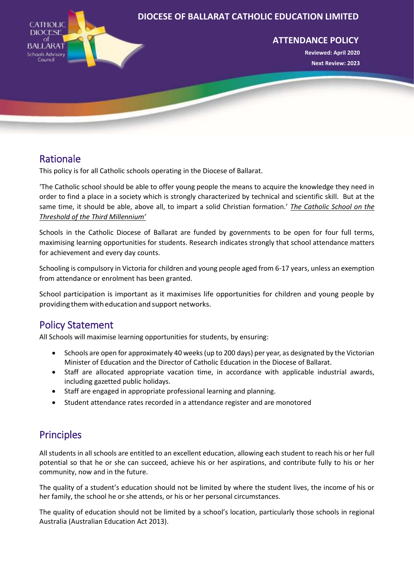

# Rationale

This policy is for all Catholic schools operating in the Diocese of Ballarat.

'The Catholic school should be able to offer young people the means to acquire the knowledge they need in order to find a place in a society which is strongly characterized by technical and scientific skill. But at the same time, it should be able, above all, to impart a solid Christian formation.' *The Catholic School on the Threshold of the Third Millennium'*

Schools in the Catholic Diocese of Ballarat are funded by governments to be open for four full terms, maximising learning opportunities for students. Research indicates strongly that school attendance matters for achievement and every day counts.

Schooling is compulsory in Victoria for children and young people aged from 6-17 years, unless an exemption from attendance or enrolment has been granted.

School participation is important as it maximises life opportunities for children and young people by providingthem witheducation and support networks.

# Policy Statement

All Schools will maximise learning opportunities for students, by ensuring:

- Schools are open for approximately 40 weeks (up to 200 days) per year, as designated by the Victorian Minister of Education and the Director of Catholic Education in the Diocese of Ballarat.
- Staff are allocated appropriate vacation time, in accordance with applicable industrial awards, including gazetted public holidays.
- Staff are engaged in appropriate professional learning and planning.
- Student attendance rates recorded in a attendance register and are monotored

# Principles

All students in all schools are entitled to an excellent education, allowing each student to reach his or her full potential so that he or she can succeed, achieve his or her aspirations, and contribute fully to his or her community, now and in the future.

The quality of a student's education should not be limited by where the student lives, the income of his or her family, the school he or she attends, or his or her personal circumstances.

The quality of education should not be limited by a school's location, particularly those schools in regional Australia (Australian Education Act 2013).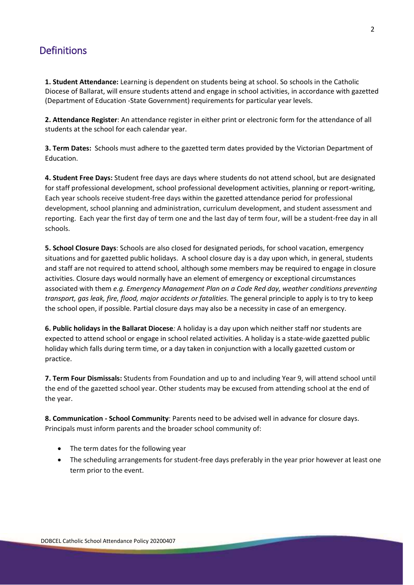# **Definitions**

**1. Student Attendance:** Learning is dependent on students being at school. So schools in the Catholic Diocese of Ballarat, will ensure students attend and engage in school activities, in accordance with gazetted (Department of Education -State Government) requirements for particular year levels.

**2. Attendance Register**: An attendance register in either print or electronic form for the attendance of all students at the school for each calendar year.

**3. Term Dates:** Schools must adhere to the gazetted term dates provided by the Victorian Department of Education.

**4. Student Free Days:** Student free days are days where students do not attend school, but are designated for staff professional development, school professional development activities, planning or report-writing, Each year schools receive student-free days within the gazetted attendance period for professional development, school planning and administration, curriculum development, and student assessment and reporting. Each year the first day of term one and the last day of term four, will be a student-free day in all schools.

**5. School Closure Days**: Schools are also closed for designated periods, for school vacation, emergency situations and for gazetted public holidays. A school closure day is a day upon which, in general, students and staff are not required to attend school, although some members may be required to engage in closure activities. Closure days would normally have an element of emergency or exceptional circumstances associated with them *e.g. Emergency Management Plan on a Code Red day, weather conditions preventing transport, gas leak, fire, flood, major accidents or fatalities.* The general principle to apply is to try to keep the school open, if possible. Partial closure days may also be a necessity in case of an emergency.

**6. Public holidays in the Ballarat Diocese***:* A holiday is a day upon which neither staff nor students are expected to attend school or engage in school related activities. A holiday is a state-wide gazetted public holiday which falls during term time, or a day taken in conjunction with a locally gazetted custom or practice.

**7. Term Four Dismissals:** Students from Foundation and up to and including Year 9, will attend school until the end of the gazetted school year. Other students may be excused from attending school at the end of the year.

**8. Communication - School Community**: Parents need to be advised well in advance for closure days. Principals must inform parents and the broader school community of:

- The term dates for the following year
- The scheduling arrangements for student-free days preferably in the year prior however at least one term prior to the event.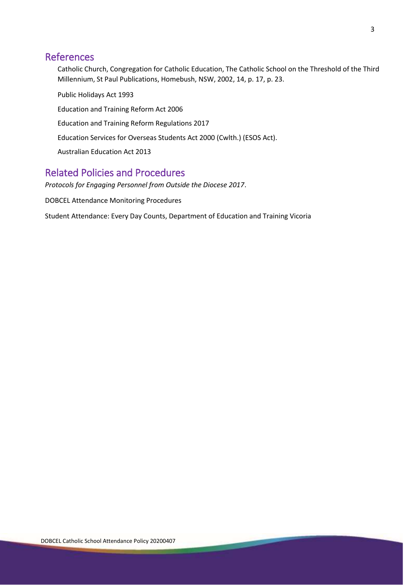### References

Catholic Church, Congregation for Catholic Education, The Catholic School on the Threshold of the Third Millennium, St Paul Publications, Homebush, NSW, 2002, 14, p. 17, p. 23.

Public Holidays Act 1993 Education and Training Reform Act 2006 Education and Training Reform Regulations 2017 Education Services for Overseas Students Act 2000 (Cwlth.) (ESOS Act). Australian Education Act 2013

## Related Policies and Procedures

*Protocols for Engaging Personnel from Outside the Diocese 2017*.

DOBCEL Attendance Monitoring Procedures

Student Attendance: Every Day Counts, Department of Education and Training Vicoria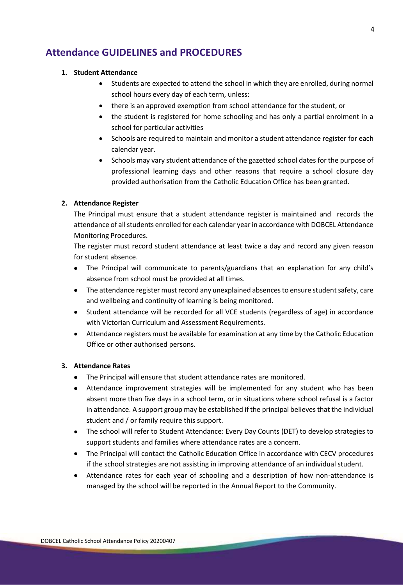## **Attendance GUIDELINES and PROCEDURES**

#### **1. Student Attendance**

- Students are expected to attend the school in which they are enrolled, during normal school hours every day of each term, unless:
- there is an approved exemption from school attendance for the student, or
- the student is registered for home schooling and has only a partial enrolment in a school for particular activities
- Schools are required to maintain and monitor a student attendance register for each calendar year.
- Schools may vary student attendance of the gazetted school dates for the purpose of professional learning days and other reasons that require a school closure day provided authorisation from the Catholic Education Office has been granted.

#### **2. Attendance Register**

The Principal must ensure that a student attendance register is maintained and records the attendance of all students enrolled for each calendar year in accordance with DOBCEL Attendance Monitoring Procedures.

The register must record student attendance at least twice a day and record any given reason for student absence.

- The Principal will communicate to parents/guardians that an explanation for any child's absence from school must be provided at all times.
- The attendance register must record any unexplained absences to ensure student safety, care and wellbeing and continuity of learning is being monitored.
- Student attendance will be recorded for all VCE students (regardless of age) in accordance with Victorian Curriculum and Assessment Requirements.
- Attendance registers must be available for examination at any time by the Catholic Education Office or other authorised persons.

#### **3. Attendance Rates**

- The Principal will ensure that student attendance rates are monitored.
- Attendance improvement strategies will be implemented for any student who has been absent more than five days in a school term, or in situations where school refusal is a factor in attendance. A support group may be established if the principal believes that the individual student and / or family require this support.
- The school will refer to Student Attendance: Every Day Counts (DET) to develop strategies to support students and families where attendance rates are a concern.
- The Principal will contact the Catholic Education Office in accordance with CECV procedures if the school strategies are not assisting in improving attendance of an individual student.
- Attendance rates for each year of schooling and a description of how non-attendance is managed by the school will be reported in the Annual Report to the Community.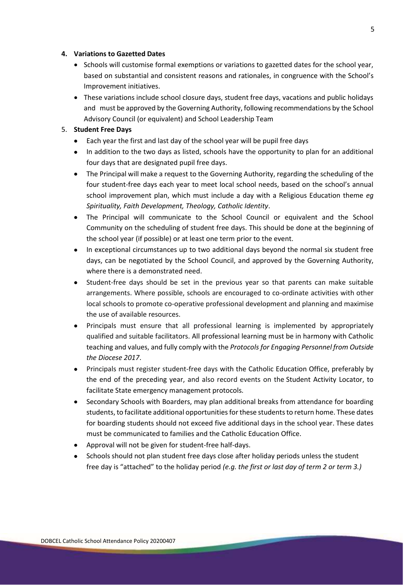#### **4. Variations to Gazetted Dates**

- Schools will customise formal exemptions or variations to gazetted dates for the school year, based on substantial and consistent reasons and rationales, in congruence with the School's Improvement initiatives.
- These variations include school closure days, student free days, vacations and public holidays and must be approved by the Governing Authority, following recommendations by the School Advisory Council (or equivalent) and School Leadership Team

#### 5. **Student Free Days**

- Each year the first and last day of the school year will be pupil free days
- In addition to the two days as listed, schools have the opportunity to plan for an additional four days that are designated pupil free days.
- The Principal will make a request to the Governing Authority, regarding the scheduling of the four student-free days each year to meet local school needs, based on the school's annual school improvement plan, which must include a day with a Religious Education theme *eg Spirituality, Faith Development, Theology, Catholic Identity*.
- The Principal will communicate to the School Council or equivalent and the School Community on the scheduling of student free days. This should be done at the beginning of the school year (if possible) or at least one term prior to the event.
- In exceptional circumstances up to two additional days beyond the normal six student free days, can be negotiated by the School Council, and approved by the Governing Authority, where there is a demonstrated need.
- Student-free days should be set in the previous year so that parents can make suitable arrangements. Where possible, schools are encouraged to co-ordinate activities with other local schools to promote co-operative professional development and planning and maximise the use of available resources.
- Principals must ensure that all professional learning is implemented by appropriately qualified and suitable facilitators. All professional learning must be in harmony with Catholic teaching and values, and fully comply with the *Protocols for Engaging Personnel from Outside the Diocese 2017*.
- Principals must register student-free days with the Catholic Education Office, preferably by the end of the preceding year, and also record events on the [Student Activity Locator,](https://partner.eduweb.vic.gov.au/sites/sal/Pages/about.aspx) to facilitate State emergency management protocols*.*
- Secondary Schools with Boarders, may plan additional breaks from attendance for boarding students, to facilitate additional opportunities for these students to return home. These dates for boarding students should not exceed five additional days in the school year. These dates must be communicated to families and the Catholic Education Office.
- Approval will not be given for student-free half-days.
- Schools should not plan student free days close after holiday periods unless the student free day is "attached" to the holiday period *(e.g. the first or last day of term 2 or term 3.)*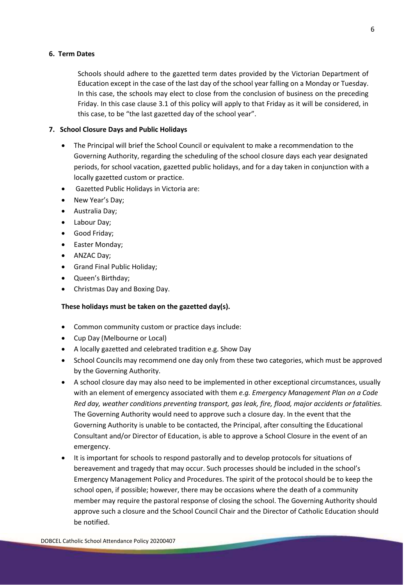#### **6. Term Dates**

Schools should adhere to the gazetted term dates provided by the Victorian Department of Education except in the case of the last day of the school year falling on a Monday or Tuesday. In this case, the schools may elect to close from the conclusion of business on the preceding Friday. In this case clause 3.1 of this policy will apply to that Friday as it will be considered, in this case, to be "the last gazetted day of the school year".

#### **7. School Closure Days and Public Holidays**

- The Principal will brief the School Council or equivalent to make a recommendation to the Governing Authority, regarding the scheduling of the school closure days each year designated periods, for school vacation, gazetted public holidays, and for a day taken in conjunction with a locally gazetted custom or practice.
- Gazetted Public Holidays in Victoria are:
- New Year's Day;
- Australia Day;
- Labour Day;
- Good Friday;
- Easter Monday;
- ANZAC Day;
- Grand Final Public Holiday;
- Queen's Birthday;
- Christmas Day and Boxing Day.

#### **These holidays must be taken on the gazetted day(s).**

- Common community custom or practice days include:
- Cup Day (Melbourne or Local)
- A locally gazetted and celebrated tradition e.g. Show Day
- School Councils may recommend one day only from these two categories, which must be approved by the Governing Authority.
- A school closure day may also need to be implemented in other exceptional circumstances, usually with an element of emergency associated with them *e.g. Emergency Management Plan on a Code Red day, weather conditions preventing transport, gas leak, fire, flood, major accidents or fatalities.*  The Governing Authority would need to approve such a closure day. In the event that the Governing Authority is unable to be contacted, the Principal, after consulting the Educational Consultant and/or Director of Education, is able to approve a School Closure in the event of an emergency.
- It is important for schools to respond pastorally and to develop protocols for situations of bereavement and tragedy that may occur. Such processes should be included in the school's Emergency Management Policy and Procedures. The spirit of the protocol should be to keep the school open, if possible; however, there may be occasions where the death of a community member may require the pastoral response of closing the school. The Governing Authority should approve such a closure and the School Council Chair and the Director of Catholic Education should be notified.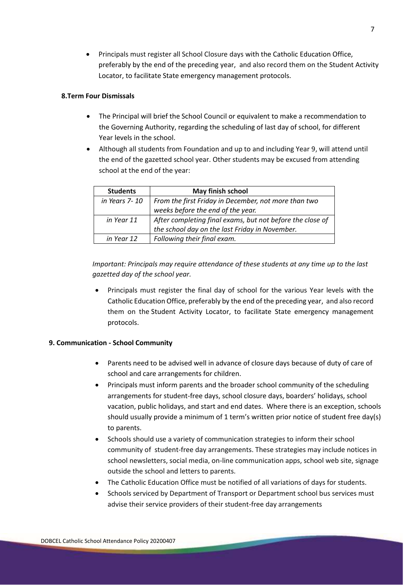• Principals must register all School Closure days with the Catholic Education Office, preferably by the end of the preceding year, and also record them on the [Student Activity](https://partner.eduweb.vic.gov.au/sites/sal/Pages/about.aspx)  [Locator,](https://partner.eduweb.vic.gov.au/sites/sal/Pages/about.aspx) to facilitate State emergency management protocols.

#### **8.Term Four Dismissals**

- The Principal will brief the School Council or equivalent to make a recommendation to the Governing Authority, regarding the scheduling of last day of school, for different Year levels in the school.
- Although all students from Foundation and up to and including Year 9, will attend until the end of the gazetted school year. Other students may be excused from attending school at the end of the year:

| <b>Students</b> | <b>May finish school</b>                                                                                    |
|-----------------|-------------------------------------------------------------------------------------------------------------|
| in Years 7-10   | From the first Friday in December, not more than two                                                        |
|                 | weeks before the end of the year.                                                                           |
| in Year 11      |                                                                                                             |
|                 | After completing final exams, but not before the close of<br>the school day on the last Friday in November. |
| in Year 12      | Following their final exam.                                                                                 |

*Important: Principals may require attendance of these students at any time up to the last gazetted day of the school year.*

• Principals must register the final day of school for the various Year levels with the Catholic Education Office, preferably by the end of the preceding year, and also record them on the [Student Activity Locator,](https://partner.eduweb.vic.gov.au/sites/sal/Pages/about.aspx) to facilitate State emergency management protocols.

#### **9. Communication - School Community**

- Parents need to be advised well in advance of closure days because of duty of care of school and care arrangements for children.
- Principals must inform parents and the broader school community of the scheduling arrangements for student-free days, school closure days, boarders' holidays, school vacation, public holidays, and start and end dates. Where there is an exception, schools should usually provide a minimum of 1 term's written prior notice of student free day(s) to parents.
- Schools should use a variety of communication strategies to inform their school community of student-free day arrangements. These strategies may include notices in school newsletters, social media, on-line communication apps, school web site, signage outside the school and letters to parents.
- The Catholic Education Office must be notified of all variations of days for students.
- Schools serviced by Department of Transport or Department school bus services must advise their service providers of their student-free day arrangements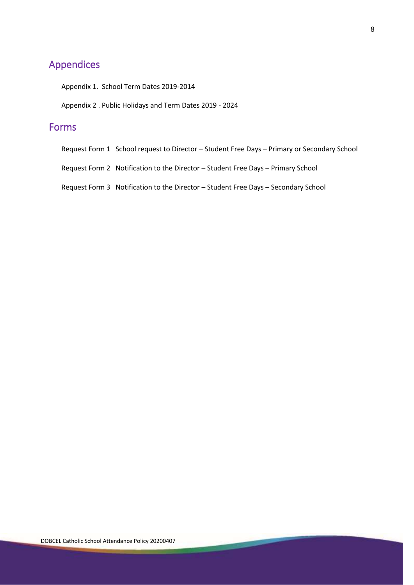# Appendices

Appendix 1. School Term Dates 2019-2014

Appendix 2 . Public Holidays and Term Dates 2019 - 2024

# Forms

Request Form 1 School request to Director – Student Free Days – Primary or Secondary School

Request Form 2 Notification to the Director – Student Free Days – Primary School

Request Form 3 Notification to the Director – Student Free Days – Secondary School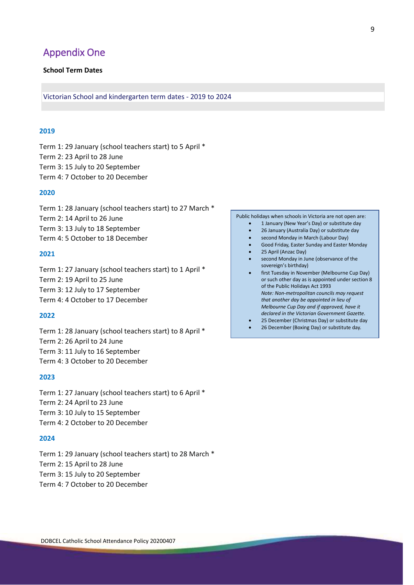# Appendix One

#### **School Term Dates**

Victorian School and kindergarten term dates - 2019 to 2024

#### **2019**

Term 1: 29 January (school teachers start) to 5 April \* Term 2: 23 April to 28 June Term 3: 15 July to 20 September Term 4: 7 October to 20 December

#### **2020**

Term 1: 28 January (school teachers start) to 27 March \* Term 2: 14 April to 26 June Term 3: 13 July to 18 September Term 4: 5 October to 18 December

#### **2021**

Term 1: 27 January (school teachers start) to 1 April \* Term 2: 19 April to 25 June Term 3: 12 July to 17 September Term 4: 4 October to 17 December

#### **2022**

Term 1: 28 January (school teachers start) to 8 April \* Term 2: 26 April to 24 June Term 3: 11 July to 16 September Term 4: 3 October to 20 December

#### **2023**

Term 1: 27 January (school teachers start) to 6 April \* Term 2: 24 April to 23 June Term 3: 10 July to 15 September Term 4: 2 October to 20 December

#### **2024**

Term 1: 29 January (school teachers start) to 28 March \* Term 2: 15 April to 28 June Term 3: 15 July to 20 September Term 4: 7 October to 20 December

#### Public holidays when schools in Victoria are not open are:

- 1 January (New Year's Day) or substitute day
- 26 January (Australia Day) or substitute day
- second Monday in March (Labour Day)
- Good Friday, Easter Sunday and Easter Monday
- 25 April (Anzac Day)
- second Monday in June (observance of the sovereign's birthday)
- first Tuesday in November (Melbourne Cup Day) or such other day as is appointed under section 8 of the Public Holidays Act 1993 *Note: Non-metropolitan councils may request that another day be appointed in lieu of Melbourne Cup Day and if approved, have it declared in the Victorian Government Gazette.*
- 25 December (Christmas Day) or substitute day • 26 December (Boxing Day) or substitute day.
-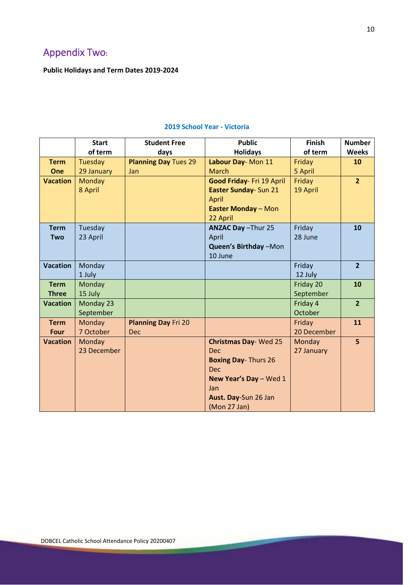# Appendix Two**:**

### **Public Holidays and Term Dates 2019-2024**

|                 | <b>Start</b>  | <b>Student Free</b>         | <b>Public</b>               | <b>Finish</b> | <b>Number</b>  |
|-----------------|---------------|-----------------------------|-----------------------------|---------------|----------------|
|                 | of term       | days                        | <b>Holidays</b>             | of term       | <b>Weeks</b>   |
| <b>Term</b>     | Tuesday       | <b>Planning Day Tues 29</b> | Labour Day- Mon 11          | Friday        | 10             |
| One             | 29 January    | Jan                         | <b>March</b>                | 5 April       |                |
| <b>Vacation</b> | Monday        |                             | Good Friday- Fri 19 April   | Friday        | $\overline{2}$ |
|                 | 8 April       |                             | Easter Sunday- Sun 21       | 19 April      |                |
|                 |               |                             | April                       |               |                |
|                 |               |                             | <b>Easter Monday - Mon</b>  |               |                |
|                 |               |                             | 22 April                    |               |                |
| <b>Term</b>     | Tuesday       |                             | ANZAC Day - Thur 25         | Friday        | 10             |
| <b>Two</b>      | 23 April      |                             | April                       | 28 June       |                |
|                 |               |                             | Queen's Birthday -Mon       |               |                |
|                 |               |                             | 10 June                     |               |                |
| <b>Vacation</b> | Monday        |                             |                             | Friday        | $\overline{2}$ |
|                 | 1 July        |                             |                             | 12 July       |                |
| <b>Term</b>     | Monday        |                             |                             | Friday 20     | 10             |
| <b>Three</b>    | 15 July       |                             |                             | September     |                |
| <b>Vacation</b> | Monday 23     |                             |                             | Friday 4      | $\overline{2}$ |
|                 | September     |                             |                             | October       |                |
| <b>Term</b>     | <b>Monday</b> | <b>Planning Day Fri 20</b>  |                             | Friday        | 11             |
| <b>Four</b>     | 7 October     | <b>Dec</b>                  |                             | 20 December   |                |
| <b>Vacation</b> | Monday        |                             | <b>Christmas Day-Wed 25</b> | Monday        | 5              |
|                 | 23 December   |                             | <b>Dec</b>                  | 27 January    |                |
|                 |               |                             | <b>Boxing Day-Thurs 26</b>  |               |                |
|                 |               |                             | Dec                         |               |                |
|                 |               |                             | New Year's Day - Wed 1      |               |                |
|                 |               |                             | Jan                         |               |                |
|                 |               |                             | Aust. Day-Sun 26 Jan        |               |                |
|                 |               |                             | (Mon 27 Jan)                |               |                |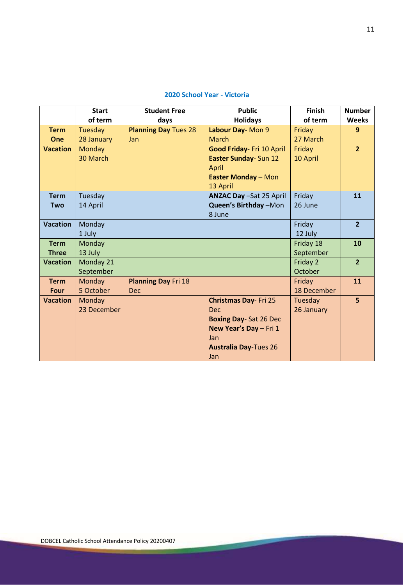|                 | <b>Start</b>  | <b>Student Free</b>         | <b>Public</b>                  | <b>Finish</b> | <b>Number</b>  |
|-----------------|---------------|-----------------------------|--------------------------------|---------------|----------------|
|                 | of term       | days                        | <b>Holidays</b>                | of term       | <b>Weeks</b>   |
| <b>Term</b>     | Tuesday       | <b>Planning Day Tues 28</b> | Labour Day-Mon 9               | Friday        | 9              |
| <b>One</b>      | 28 January    | <b>Jan</b>                  | <b>March</b>                   | 27 March      |                |
| <b>Vacation</b> | <b>Monday</b> |                             | Good Friday- Fri 10 April      | Friday        | $\overline{2}$ |
|                 | 30 March      |                             | <b>Easter Sunday- Sun 12</b>   | 10 April      |                |
|                 |               |                             | April                          |               |                |
|                 |               |                             | <b>Easter Monday - Mon</b>     |               |                |
|                 |               |                             | 13 April                       |               |                |
| <b>Term</b>     | Tuesday       |                             | <b>ANZAC Day -Sat 25 April</b> | Friday        | 11             |
| <b>Two</b>      | 14 April      |                             | Queen's Birthday -Mon          | 26 June       |                |
|                 |               |                             | 8 June                         |               |                |
| <b>Vacation</b> | Monday        |                             |                                | Friday        | $\overline{2}$ |
|                 | 1 July        |                             |                                | 12 July       |                |
| <b>Term</b>     | Monday        |                             |                                | Friday 18     | 10             |
| <b>Three</b>    | 13 July       |                             |                                | September     |                |
| <b>Vacation</b> | Monday 21     |                             |                                | Friday 2      | $\overline{2}$ |
|                 | September     |                             |                                | October       |                |
| <b>Term</b>     | Monday        | <b>Planning Day Fri 18</b>  |                                | Friday        | 11             |
| <b>Four</b>     | 5 October     | <b>Dec</b>                  |                                | 18 December   |                |
| <b>Vacation</b> | Monday        |                             | <b>Christmas Day-Fri 25</b>    | Tuesday       | 5              |
|                 | 23 December   |                             | <b>Dec</b>                     | 26 January    |                |
|                 |               |                             | <b>Boxing Day-Sat 26 Dec</b>   |               |                |
|                 |               |                             | New Year's Day - Fri 1         |               |                |
|                 |               |                             | Jan                            |               |                |
|                 |               |                             | <b>Australia Day-Tues 26</b>   |               |                |
|                 |               |                             | Jan                            |               |                |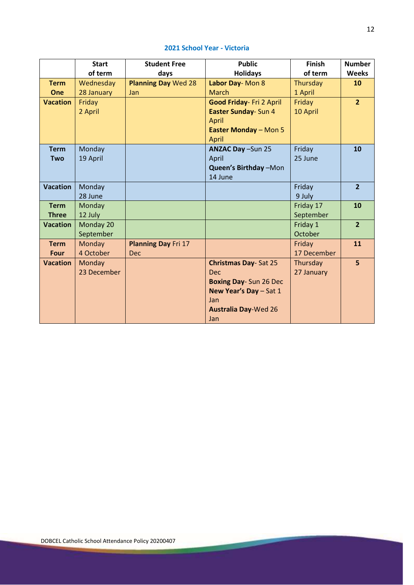|                 | <b>Start</b> | <b>Student Free</b>        | <b>Public</b>                   | Finish      | <b>Number</b>  |
|-----------------|--------------|----------------------------|---------------------------------|-------------|----------------|
|                 | of term      | days                       | <b>Holidays</b>                 | of term     | <b>Weeks</b>   |
| <b>Term</b>     | Wednesday    | <b>Planning Day Wed 28</b> | Labor Day-Mon 8                 | Thursday    | 10             |
| One             | 28 January   | Jan                        | <b>March</b>                    | 1 April     |                |
| <b>Vacation</b> | Friday       |                            | <b>Good Friday- Fri 2 April</b> | Friday      | $\overline{2}$ |
|                 | 2 April      |                            | Easter Sunday- Sun 4            | 10 April    |                |
|                 |              |                            | April                           |             |                |
|                 |              |                            | <b>Easter Monday - Mon 5</b>    |             |                |
|                 |              |                            | April                           |             |                |
| <b>Term</b>     | Monday       |                            | ANZAC Day -Sun 25               | Friday      | 10             |
| <b>Two</b>      | 19 April     |                            | April                           | 25 June     |                |
|                 |              |                            | Queen's Birthday -Mon           |             |                |
|                 |              |                            | 14 June                         |             |                |
| <b>Vacation</b> | Monday       |                            |                                 | Friday      | $\overline{2}$ |
|                 | 28 June      |                            |                                 | 9 July      |                |
| <b>Term</b>     | Monday       |                            |                                 | Friday 17   | 10             |
| <b>Three</b>    | 12 July      |                            |                                 | September   |                |
| <b>Vacation</b> | Monday 20    |                            |                                 | Friday 1    | $\overline{2}$ |
|                 | September    |                            |                                 | October     |                |
| <b>Term</b>     | Monday       | <b>Planning Day Fri 17</b> |                                 | Friday      | 11             |
| <b>Four</b>     | 4 October    | <b>Dec</b>                 |                                 | 17 December |                |
| <b>Vacation</b> | Monday       |                            | <b>Christmas Day-Sat 25</b>     | Thursday    | 5              |
|                 | 23 December  |                            | <b>Dec</b>                      | 27 January  |                |
|                 |              |                            | <b>Boxing Day-Sun 26 Dec</b>    |             |                |
|                 |              |                            | New Year's Day - Sat 1          |             |                |
|                 |              |                            | Jan                             |             |                |
|                 |              |                            | <b>Australia Day-Wed 26</b>     |             |                |
|                 |              |                            | Jan                             |             |                |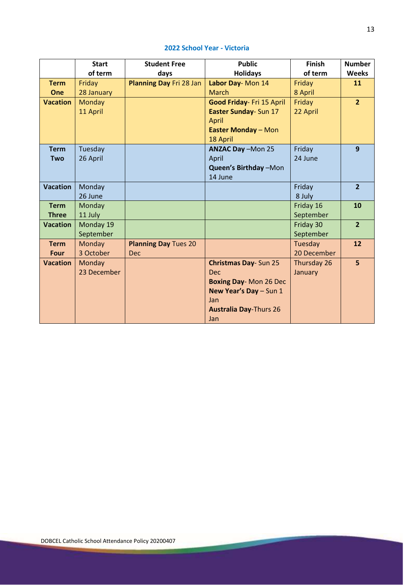|                 | <b>Start</b>  | <b>Student Free</b>         | <b>Public</b>                 | <b>Finish</b> | <b>Number</b>  |
|-----------------|---------------|-----------------------------|-------------------------------|---------------|----------------|
|                 | of term       | days                        | <b>Holidays</b>               | of term       | <b>Weeks</b>   |
| <b>Term</b>     | Friday        | Planning Day Fri 28 Jan     | Labor Day- Mon 14             | Friday        | 11             |
| <b>One</b>      | 28 January    |                             | <b>March</b>                  | 8 April       |                |
| <b>Vacation</b> | <b>Monday</b> |                             | Good Friday- Fri 15 April     | Friday        | 2 <sup>1</sup> |
|                 | 11 April      |                             | <b>Easter Sunday- Sun 17</b>  | 22 April      |                |
|                 |               |                             | April                         |               |                |
|                 |               |                             | <b>Easter Monday - Mon</b>    |               |                |
|                 |               |                             | 18 April                      |               |                |
| <b>Term</b>     | Tuesday       |                             | ANZAC Day -Mon 25             | Friday        | 9              |
| <b>Two</b>      | 26 April      |                             | April                         | 24 June       |                |
|                 |               |                             | Queen's Birthday -Mon         |               |                |
|                 |               |                             | 14 June                       |               |                |
| <b>Vacation</b> | Monday        |                             |                               | Friday        | $\overline{2}$ |
|                 | 26 June       |                             |                               | 8 July        |                |
| <b>Term</b>     | Monday        |                             |                               | Friday 16     | 10             |
| <b>Three</b>    | 11 July       |                             |                               | September     |                |
| <b>Vacation</b> | Monday 19     |                             |                               | Friday 30     | $\overline{2}$ |
|                 | September     |                             |                               | September     |                |
| <b>Term</b>     | Monday        | <b>Planning Day Tues 20</b> |                               | Tuesday       | 12             |
| <b>Four</b>     | 3 October     | <b>Dec</b>                  |                               | 20 December   |                |
| <b>Vacation</b> | Monday        |                             | <b>Christmas Day-Sun 25</b>   | Thursday 26   | 5              |
|                 | 23 December   |                             | <b>Dec</b>                    | January       |                |
|                 |               |                             | <b>Boxing Day-Mon 26 Dec</b>  |               |                |
|                 |               |                             | New Year's Day - Sun 1        |               |                |
|                 |               |                             | Jan                           |               |                |
|                 |               |                             | <b>Australia Day-Thurs 26</b> |               |                |
|                 |               |                             | Jan                           |               |                |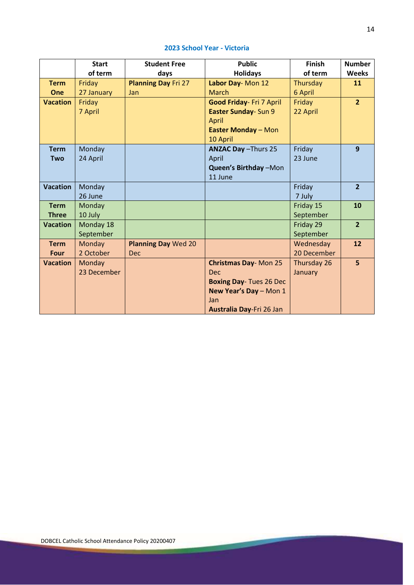|                 | <b>Start</b>  | <b>Student Free</b>        | <b>Public</b>                   | <b>Finish</b> | <b>Number</b>  |
|-----------------|---------------|----------------------------|---------------------------------|---------------|----------------|
|                 | of term       | days                       | <b>Holidays</b>                 | of term       | <b>Weeks</b>   |
| <b>Term</b>     | Friday        | <b>Planning Day Fri 27</b> | Labor Day-Mon 12                | Thursday      | 11             |
| One             | 27 January    | <b>Jan</b>                 | <b>March</b>                    | 6 April       |                |
| <b>Vacation</b> | Friday        |                            | <b>Good Friday- Fri 7 April</b> | Friday        | $\overline{2}$ |
|                 | 7 April       |                            | Easter Sunday- Sun 9            | 22 April      |                |
|                 |               |                            | April                           |               |                |
|                 |               |                            | <b>Easter Monday - Mon</b>      |               |                |
|                 |               |                            | 10 April                        |               |                |
| <b>Term</b>     | <b>Monday</b> |                            | <b>ANZAC Day - Thurs 25</b>     | Friday        | $\mathbf{9}$   |
| <b>Two</b>      | 24 April      |                            | April                           | 23 June       |                |
|                 |               |                            | Queen's Birthday -Mon           |               |                |
|                 |               |                            | 11 June                         |               |                |
| <b>Vacation</b> | Monday        |                            |                                 | Friday        | $\overline{2}$ |
|                 | 26 June       |                            |                                 | 7 July        |                |
| <b>Term</b>     | Monday        |                            |                                 | Friday 15     | 10             |
| <b>Three</b>    | 10 July       |                            |                                 | September     |                |
| <b>Vacation</b> | Monday 18     |                            |                                 | Friday 29     | $\overline{2}$ |
|                 | September     |                            |                                 | September     |                |
| <b>Term</b>     | <b>Monday</b> | <b>Planning Day Wed 20</b> |                                 | Wednesday     | 12             |
| <b>Four</b>     | 2 October     | <b>Dec</b>                 |                                 | 20 December   |                |
| <b>Vacation</b> | Monday        |                            | <b>Christmas Day-Mon 25</b>     | Thursday 26   | 5              |
|                 | 23 December   |                            | <b>Dec</b>                      | January       |                |
|                 |               |                            | <b>Boxing Day-Tues 26 Dec</b>   |               |                |
|                 |               |                            | New Year's Day - Mon 1          |               |                |
|                 |               |                            | Jan                             |               |                |
|                 |               |                            | Australia Day-Fri 26 Jan        |               |                |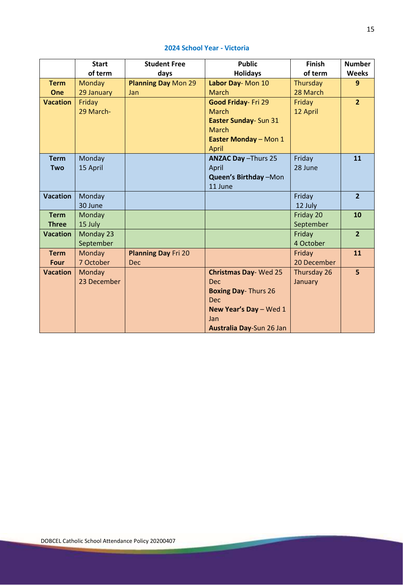|                 | <b>Start</b><br>of term | <b>Student Free</b><br>days | <b>Public</b><br><b>Holidays</b> | <b>Finish</b><br>of term | <b>Number</b><br><b>Weeks</b> |
|-----------------|-------------------------|-----------------------------|----------------------------------|--------------------------|-------------------------------|
| <b>Term</b>     | Monday                  | <b>Planning Day Mon 29</b>  | Labor Day- Mon 10                | Thursday                 | 9                             |
| One             | 29 January              | Jan                         | <b>March</b>                     | 28 March                 |                               |
| <b>Vacation</b> | Friday                  |                             | Good Friday- Fri 29              | Friday                   | $\overline{2}$                |
|                 | 29 March-               |                             | March                            | 12 April                 |                               |
|                 |                         |                             | Easter Sunday- Sun 31            |                          |                               |
|                 |                         |                             | <b>March</b>                     |                          |                               |
|                 |                         |                             | Easter Monday - Mon 1            |                          |                               |
|                 |                         |                             | April                            |                          |                               |
| <b>Term</b>     | Monday                  |                             | <b>ANZAC Day - Thurs 25</b>      | Friday                   | 11                            |
| <b>Two</b>      | 15 April                |                             | April                            | 28 June                  |                               |
|                 |                         |                             | Queen's Birthday -Mon            |                          |                               |
|                 |                         |                             | 11 June                          |                          |                               |
| <b>Vacation</b> | Monday                  |                             |                                  | Friday                   | $\overline{2}$                |
|                 | 30 June                 |                             |                                  | 12 July                  |                               |
| <b>Term</b>     | Monday                  |                             |                                  | Friday 20                | 10                            |
| <b>Three</b>    | 15 July                 |                             |                                  | September                |                               |
| <b>Vacation</b> | Monday 23               |                             |                                  | Friday                   | $\overline{2}$                |
|                 | September               |                             |                                  | 4 October                |                               |
| <b>Term</b>     | Monday                  | <b>Planning Day Fri 20</b>  |                                  | Friday                   | 11                            |
| <b>Four</b>     | 7 October               | <b>Dec</b>                  |                                  | 20 December              |                               |
| <b>Vacation</b> | Monday                  |                             | <b>Christmas Day-Wed 25</b>      | Thursday 26              | 5                             |
|                 | 23 December             |                             | <b>Dec</b>                       | January                  |                               |
|                 |                         |                             | <b>Boxing Day-Thurs 26</b>       |                          |                               |
|                 |                         |                             | <b>Dec</b>                       |                          |                               |
|                 |                         |                             | New Year's Day - Wed 1           |                          |                               |
|                 |                         |                             | Jan                              |                          |                               |
|                 |                         |                             | Australia Day-Sun 26 Jan         |                          |                               |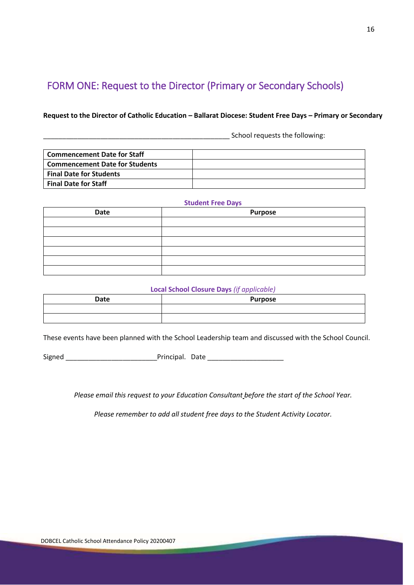# FORM ONE: Request to the Director (Primary or Secondary Schools)

**Request to the Director of Catholic Education – Ballarat Diocese: Student Free Days – Primary or Secondary** 

School requests the following:

| Commencement Date for Staff           |  |
|---------------------------------------|--|
| <b>Commencement Date for Students</b> |  |
| <b>Final Date for Students</b>        |  |
| <b>Final Date for Staff</b>           |  |

#### **Student Free Days**

| <b>Date</b> | Purpose |
|-------------|---------|
|             |         |
|             |         |
|             |         |
|             |         |
|             |         |
|             |         |

#### **Local School Closure Days** *(if applicable)*

| Date | <b>Purpose</b> |
|------|----------------|
|      |                |
|      |                |

These events have been planned with the School Leadership team and discussed with the School Council.

Signed \_\_\_\_\_\_\_\_\_\_\_\_\_\_\_\_\_\_\_\_\_\_\_\_Principal. Date \_\_\_\_\_\_\_\_\_\_\_\_\_\_\_\_\_\_\_\_

*Please email this request to your Education Consultant before the start of the School Year.*

*Please remember to add all student free days to the Student Activity Locator.*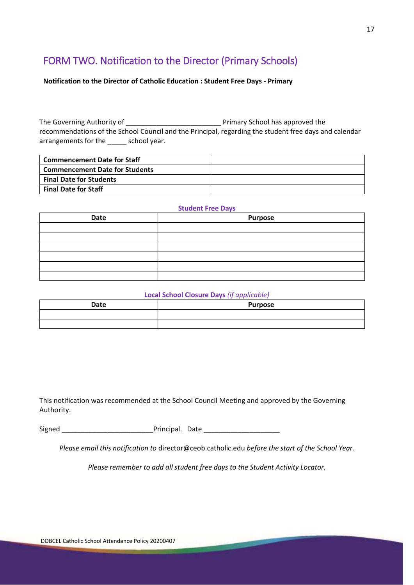# FORM TWO. Notification to the Director (Primary Schools)

#### **Notification to the Director of Catholic Education : Student Free Days - Primary**

The Governing Authority of \_\_\_\_\_\_\_\_\_\_\_\_\_\_\_\_\_\_\_\_\_\_\_\_\_ Primary School has approved the recommendations of the School Council and the Principal, regarding the student free days and calendar arrangements for the school year.

| Commencement Date for Staff           |  |
|---------------------------------------|--|
| <b>Commencement Date for Students</b> |  |
| <b>Final Date for Students</b>        |  |
| <b>Final Date for Staff</b>           |  |

#### **Student Free Days**

| <b>Date</b> | Purpose |
|-------------|---------|
|             |         |
|             |         |
|             |         |
|             |         |
|             |         |
|             |         |

#### **Local School Closure Days** *(if applicable)*

| -    |                |
|------|----------------|
| Date | <b>Purpose</b> |
|      |                |
|      |                |

This notification was recommended at the School Council Meeting and approved by the Governing Authority.

Signed \_\_\_\_\_\_\_\_\_\_\_\_\_\_\_\_\_\_\_\_\_\_\_\_Principal. Date \_\_\_\_\_\_\_\_\_\_\_\_\_\_\_\_\_\_\_\_

*Please email this notification to* [director@ceob.catholic.edu](mailto:director@ceob.catholic.edu) *before the start of the School Year.*

*Please remember to add all student free days to the Student Activity Locator.*